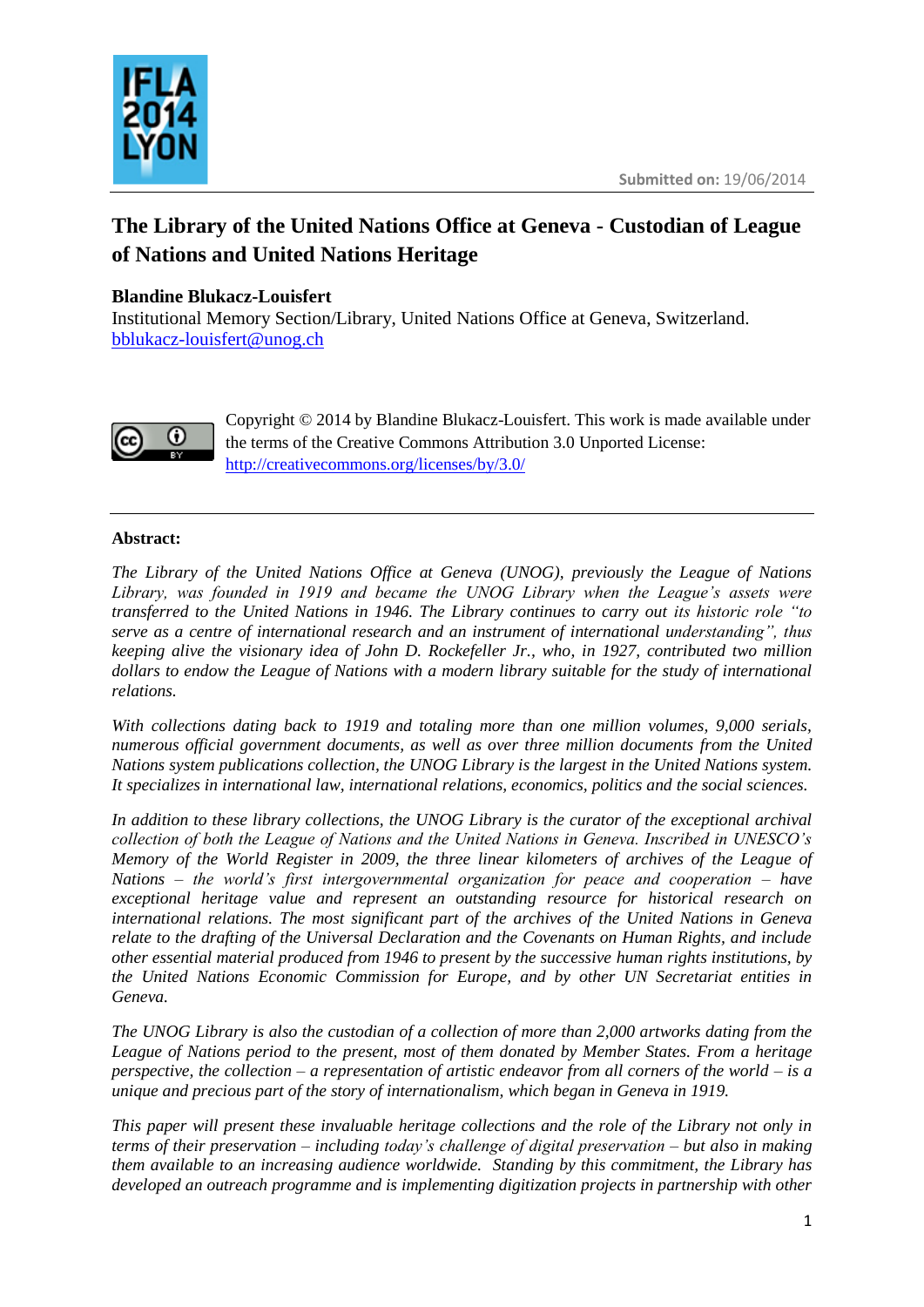

# **The Library of the United Nations Office at Geneva - Custodian of League of Nations and United Nations Heritage**

## **Blandine Blukacz-Louisfert**

Institutional Memory Section/Library, United Nations Office at Geneva, Switzerland. [bblukacz-louisfert@unog.ch](mailto:bblukacz-louisfert@unog.ch)



Copyright © 2014 by Blandine Blukacz-Louisfert. This work is made available under the terms of the Creative Commons Attribution 3.0 Unported License: <http://creativecommons.org/licenses/by/3.0/>

#### **Abstract:**

*The Library of the United Nations Office at Geneva (UNOG), previously the League of Nations Library, was founded in 1919 and became the UNOG Library when the League's assets were transferred to the United Nations in 1946. The Library continues to carry out its historic role "to serve as a centre of international research and an instrument of international understanding", thus keeping alive the visionary idea of John D. Rockefeller Jr., who, in 1927, contributed two million dollars to endow the League of Nations with a modern library suitable for the study of international relations.*

*With collections dating back to 1919 and totaling more than one million volumes, 9,000 serials, numerous official government documents, as well as over three million documents from the United Nations system publications collection, the UNOG Library is the largest in the United Nations system. It specializes in international law, international relations, economics, politics and the social sciences.*

*In addition to these library collections, the UNOG Library is the curator of the exceptional archival collection of both the League of Nations and the United Nations in Geneva. Inscribed in UNESCO's Memory of the World Register in 2009, the three linear kilometers of archives of the League of Nations – the world's first intergovernmental organization for peace and cooperation – have exceptional heritage value and represent an outstanding resource for historical research on international relations. The most significant part of the archives of the United Nations in Geneva relate to the drafting of the Universal Declaration and the Covenants on Human Rights, and include other essential material produced from 1946 to present by the successive human rights institutions, by the United Nations Economic Commission for Europe, and by other UN Secretariat entities in Geneva.*

*The UNOG Library is also the custodian of a collection of more than 2,000 artworks dating from the League of Nations period to the present, most of them donated by Member States. From a heritage perspective, the collection – a representation of artistic endeavor from all corners of the world – is a unique and precious part of the story of internationalism, which began in Geneva in 1919.*

*This paper will present these invaluable heritage collections and the role of the Library not only in terms of their preservation – including today's challenge of digital preservation – but also in making them available to an increasing audience worldwide. Standing by this commitment, the Library has developed an outreach programme and is implementing digitization projects in partnership with other*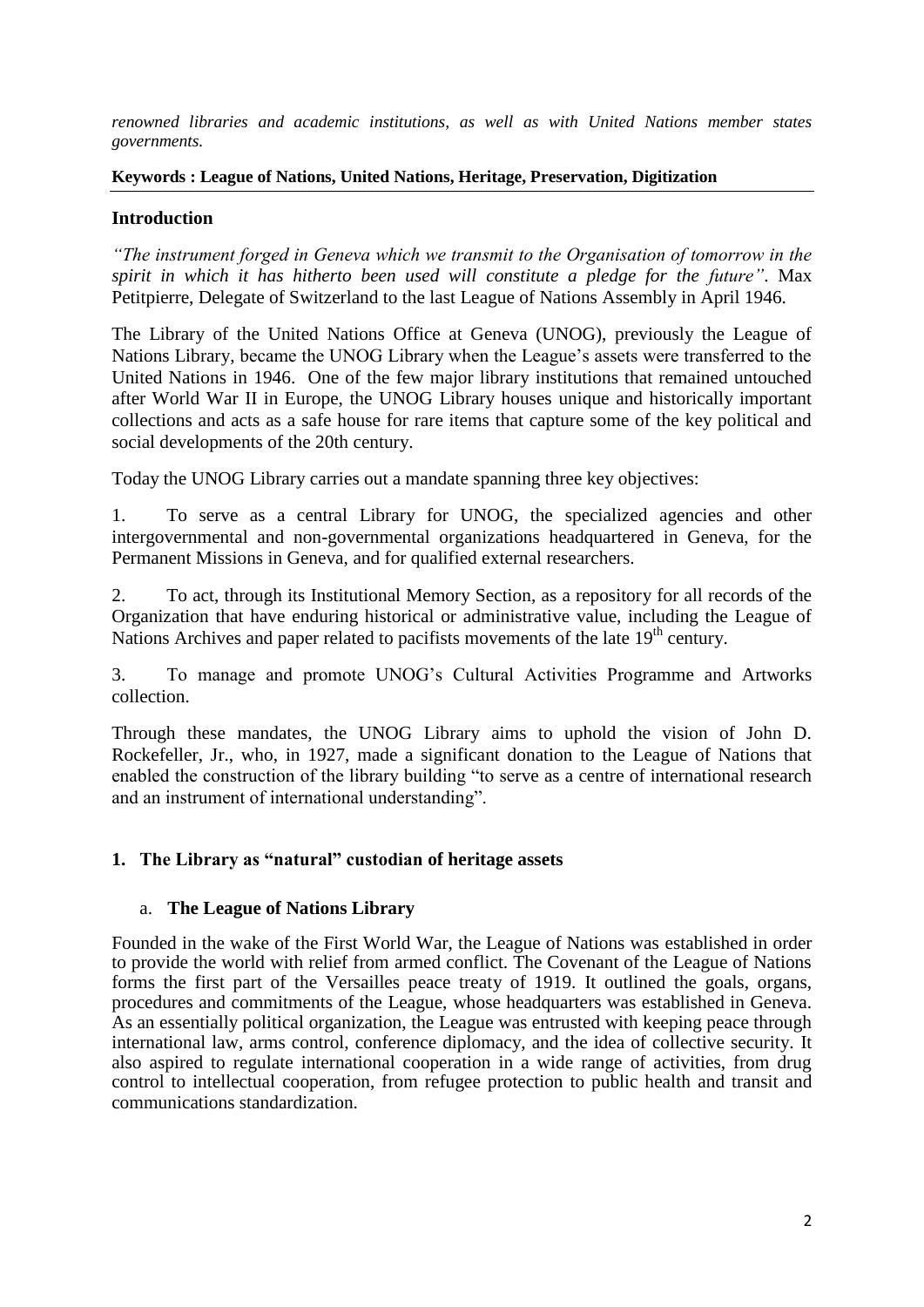*renowned libraries and academic institutions, as well as with United Nations member states governments.*

#### **Keywords : League of Nations, United Nations, Heritage, Preservation, Digitization**

## **Introduction**

*"The instrument forged in Geneva which we transmit to the Organisation of tomorrow in the spirit in which it has hitherto been used will constitute a pledge for the future"*. Max Petitpierre, Delegate of Switzerland to the last League of Nations Assembly in April 1946.

The Library of the United Nations Office at Geneva (UNOG), previously the League of Nations Library, became the UNOG Library when the League's assets were transferred to the United Nations in 1946. One of the few major library institutions that remained untouched after World War II in Europe, the UNOG Library houses unique and historically important collections and acts as a safe house for rare items that capture some of the key political and social developments of the 20th century.

Today the UNOG Library carries out a mandate spanning three key objectives:

1. To serve as a central Library for UNOG, the specialized agencies and other intergovernmental and non-governmental organizations headquartered in Geneva, for the Permanent Missions in Geneva, and for qualified external researchers.

2. To act, through its Institutional Memory Section, as a repository for all records of the Organization that have enduring historical or administrative value, including the League of Nations Archives and paper related to pacifists movements of the late 19<sup>th</sup> century.

3. To manage and promote UNOG's Cultural Activities Programme and Artworks collection.

Through these mandates, the UNOG Library aims to uphold the vision of John D. Rockefeller, Jr., who, in 1927, made a significant donation to the League of Nations that enabled the construction of the library building "to serve as a centre of international research and an instrument of international understanding".

## **1. The Library as "natural" custodian of heritage assets**

#### a. **The League of Nations Library**

Founded in the wake of the First World War, the League of Nations was established in order to provide the world with relief from armed conflict. The Covenant of the League of Nations forms the first part of the Versailles peace treaty of 1919. It outlined the goals, organs, procedures and commitments of the League, whose headquarters was established in Geneva. As an essentially political organization, the League was entrusted with keeping peace through international law, arms control, conference diplomacy, and the idea of collective security. It also aspired to regulate international cooperation in a wide range of activities, from drug control to intellectual cooperation, from refugee protection to public health and transit and communications standardization.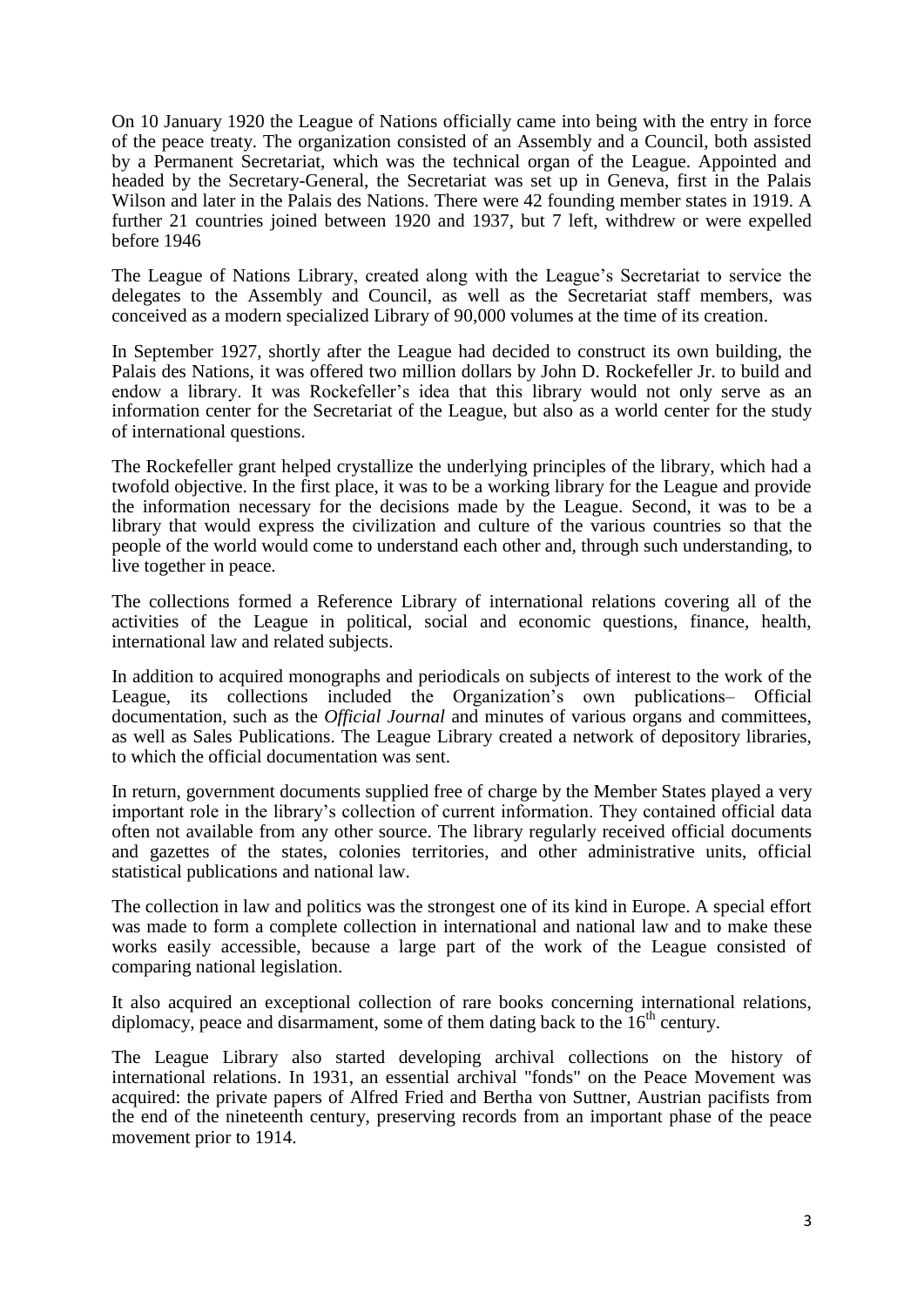On 10 January 1920 the League of Nations officially came into being with the entry in force of the peace treaty. The organization consisted of an Assembly and a Council, both assisted by a Permanent Secretariat, which was the technical organ of the League. Appointed and headed by the Secretary-General, the Secretariat was set up in Geneva, first in the Palais Wilson and later in the Palais des Nations. There were 42 founding member states in 1919. A further 21 countries joined between 1920 and 1937, but 7 left, withdrew or were expelled before 1946

The League of Nations Library, created along with the League's Secretariat to service the delegates to the Assembly and Council, as well as the Secretariat staff members, was conceived as a modern specialized Library of 90,000 volumes at the time of its creation.

In September 1927, shortly after the League had decided to construct its own building, the Palais des Nations, it was offered two million dollars by John D. Rockefeller Jr. to build and endow a library. It was Rockefeller's idea that this library would not only serve as an information center for the Secretariat of the League, but also as a world center for the study of international questions.

The Rockefeller grant helped crystallize the underlying principles of the library, which had a twofold objective. In the first place, it was to be a working library for the League and provide the information necessary for the decisions made by the League. Second, it was to be a library that would express the civilization and culture of the various countries so that the people of the world would come to understand each other and, through such understanding, to live together in peace.

The collections formed a Reference Library of international relations covering all of the activities of the League in political, social and economic questions, finance, health, international law and related subjects.

In addition to acquired monographs and periodicals on subjects of interest to the work of the League, its collections included the Organization's own publications– Official documentation, such as the *Official Journal* and minutes of various organs and committees, as well as Sales Publications. The League Library created a network of depository libraries, to which the official documentation was sent.

In return, government documents supplied free of charge by the Member States played a very important role in the library's collection of current information. They contained official data often not available from any other source. The library regularly received official documents and gazettes of the states, colonies territories, and other administrative units, official statistical publications and national law.

The collection in law and politics was the strongest one of its kind in Europe. A special effort was made to form a complete collection in international and national law and to make these works easily accessible, because a large part of the work of the League consisted of comparing national legislation.

It also acquired an exceptional collection of rare books concerning international relations, diplomacy, peace and disarmament, some of them dating back to the  $16<sup>th</sup>$  century.

The League Library also started developing archival collections on the history of international relations. In 1931, an essential archival "fonds" on the Peace Movement was acquired: the private papers of Alfred Fried and Bertha von Suttner, Austrian pacifists from the end of the nineteenth century, preserving records from an important phase of the peace movement prior to 1914.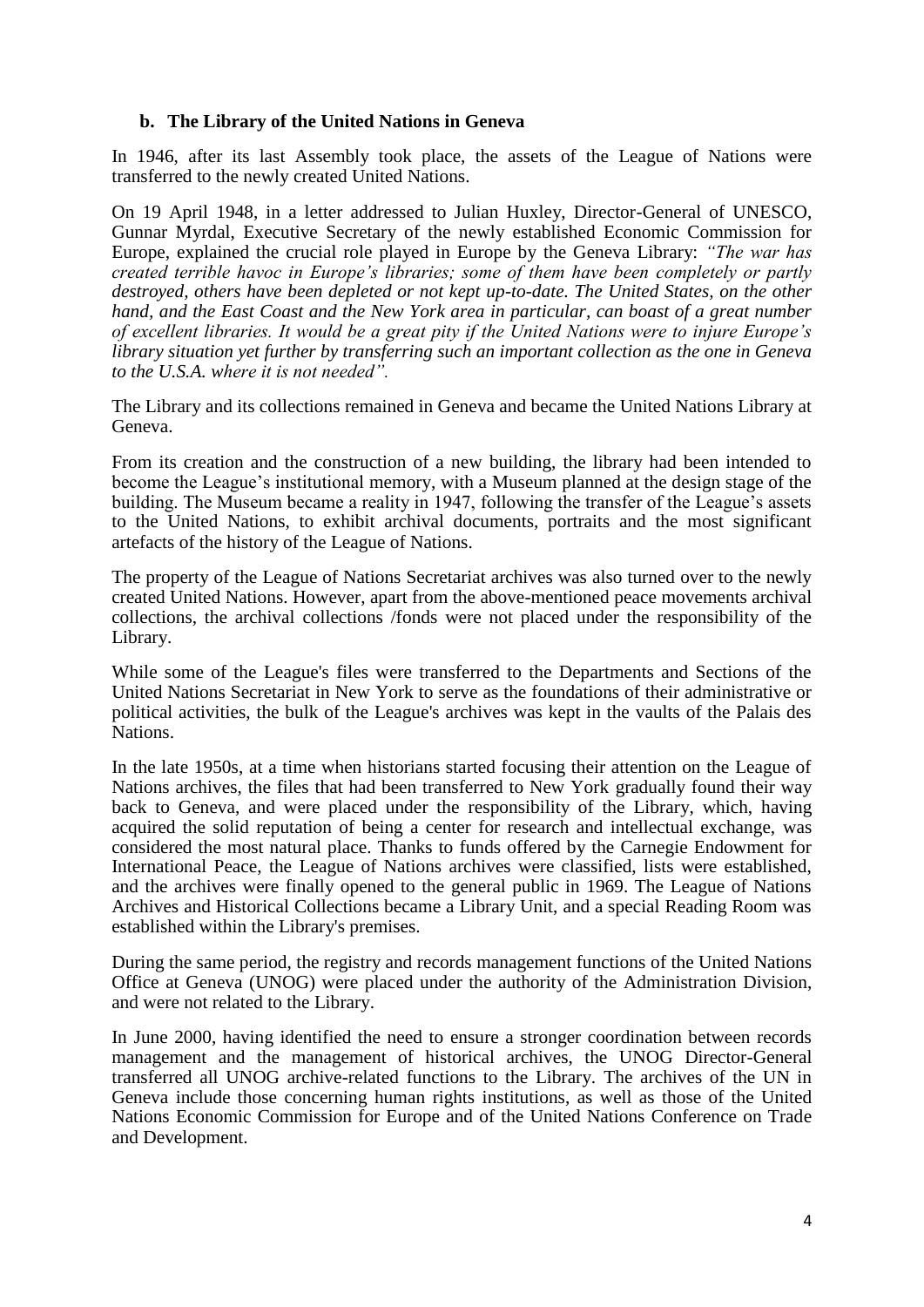#### **b. The Library of the United Nations in Geneva**

In 1946, after its last Assembly took place, the assets of the League of Nations were transferred to the newly created United Nations.

On 19 April 1948, in a letter addressed to Julian Huxley, Director-General of UNESCO, Gunnar Myrdal, Executive Secretary of the newly established Economic Commission for Europe, explained the crucial role played in Europe by the Geneva Library: *"The war has created terrible havoc in Europe's libraries; some of them have been completely or partly destroyed, others have been depleted or not kept up-to-date. The United States, on the other hand, and the East Coast and the New York area in particular, can boast of a great number of excellent libraries. It would be a great pity if the United Nations were to injure Europe's library situation yet further by transferring such an important collection as the one in Geneva to the U.S.A. where it is not needed".*

The Library and its collections remained in Geneva and became the United Nations Library at Geneva.

From its creation and the construction of a new building, the library had been intended to become the League's institutional memory, with a Museum planned at the design stage of the building. The Museum became a reality in 1947, following the transfer of the League's assets to the United Nations, to exhibit archival documents, portraits and the most significant artefacts of the history of the League of Nations.

The property of the League of Nations Secretariat archives was also turned over to the newly created United Nations. However, apart from the above-mentioned peace movements archival collections, the archival collections /fonds were not placed under the responsibility of the Library.

While some of the League's files were transferred to the Departments and Sections of the United Nations Secretariat in New York to serve as the foundations of their administrative or political activities, the bulk of the League's archives was kept in the vaults of the Palais des Nations.

In the late 1950s, at a time when historians started focusing their attention on the League of Nations archives, the files that had been transferred to New York gradually found their way back to Geneva, and were placed under the responsibility of the Library, which, having acquired the solid reputation of being a center for research and intellectual exchange, was considered the most natural place. Thanks to funds offered by the Carnegie Endowment for International Peace, the League of Nations archives were classified, lists were established, and the archives were finally opened to the general public in 1969. The League of Nations Archives and Historical Collections became a Library Unit, and a special Reading Room was established within the Library's premises.

During the same period, the registry and records management functions of the United Nations Office at Geneva (UNOG) were placed under the authority of the Administration Division, and were not related to the Library.

In June 2000, having identified the need to ensure a stronger coordination between records management and the management of historical archives, the UNOG Director-General transferred all UNOG archive-related functions to the Library. The archives of the UN in Geneva include those concerning human rights institutions, as well as those of the United Nations Economic Commission for Europe and of the United Nations Conference on Trade and Development.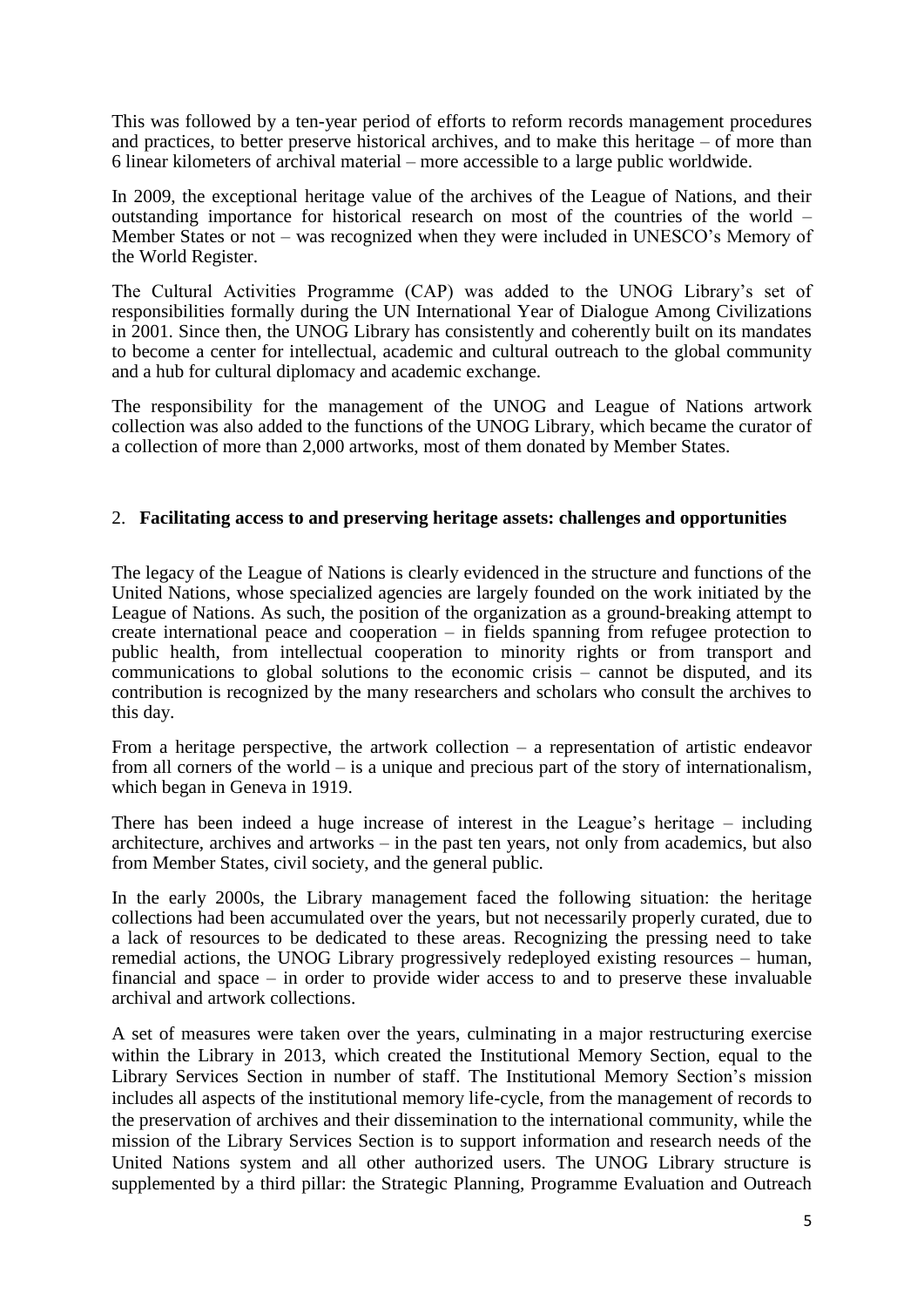This was followed by a ten-year period of efforts to reform records management procedures and practices, to better preserve historical archives, and to make this heritage – of more than 6 linear kilometers of archival material – more accessible to a large public worldwide.

In 2009, the exceptional heritage value of the archives of the League of Nations, and their outstanding importance for historical research on most of the countries of the world – Member States or not – was recognized when they were included in UNESCO's Memory of the World Register.

The Cultural Activities Programme (CAP) was added to the UNOG Library's set of responsibilities formally during the UN International Year of Dialogue Among Civilizations in 2001. Since then, the UNOG Library has consistently and coherently built on its mandates to become a center for intellectual, academic and cultural outreach to the global community and a hub for cultural diplomacy and academic exchange.

The responsibility for the management of the UNOG and League of Nations artwork collection was also added to the functions of the UNOG Library, which became the curator of a collection of more than 2,000 artworks, most of them donated by Member States.

## 2. **Facilitating access to and preserving heritage assets: challenges and opportunities**

The legacy of the League of Nations is clearly evidenced in the structure and functions of the United Nations, whose specialized agencies are largely founded on the work initiated by the League of Nations. As such, the position of the organization as a ground-breaking attempt to create international peace and cooperation – in fields spanning from refugee protection to public health, from intellectual cooperation to minority rights or from transport and communications to global solutions to the economic crisis – cannot be disputed, and its contribution is recognized by the many researchers and scholars who consult the archives to this day.

From a heritage perspective, the artwork collection – a representation of artistic endeavor from all corners of the world – is a unique and precious part of the story of internationalism, which began in Geneva in 1919.

There has been indeed a huge increase of interest in the League's heritage – including architecture, archives and artworks – in the past ten years, not only from academics, but also from Member States, civil society, and the general public.

In the early 2000s, the Library management faced the following situation: the heritage collections had been accumulated over the years, but not necessarily properly curated, due to a lack of resources to be dedicated to these areas. Recognizing the pressing need to take remedial actions, the UNOG Library progressively redeployed existing resources – human, financial and space – in order to provide wider access to and to preserve these invaluable archival and artwork collections.

A set of measures were taken over the years, culminating in a major restructuring exercise within the Library in 2013, which created the Institutional Memory Section, equal to the Library Services Section in number of staff. The Institutional Memory Section's mission includes all aspects of the institutional memory life-cycle, from the management of records to the preservation of archives and their dissemination to the international community, while the mission of the Library Services Section is to support information and research needs of the United Nations system and all other authorized users. The UNOG Library structure is supplemented by a third pillar: the Strategic Planning, Programme Evaluation and Outreach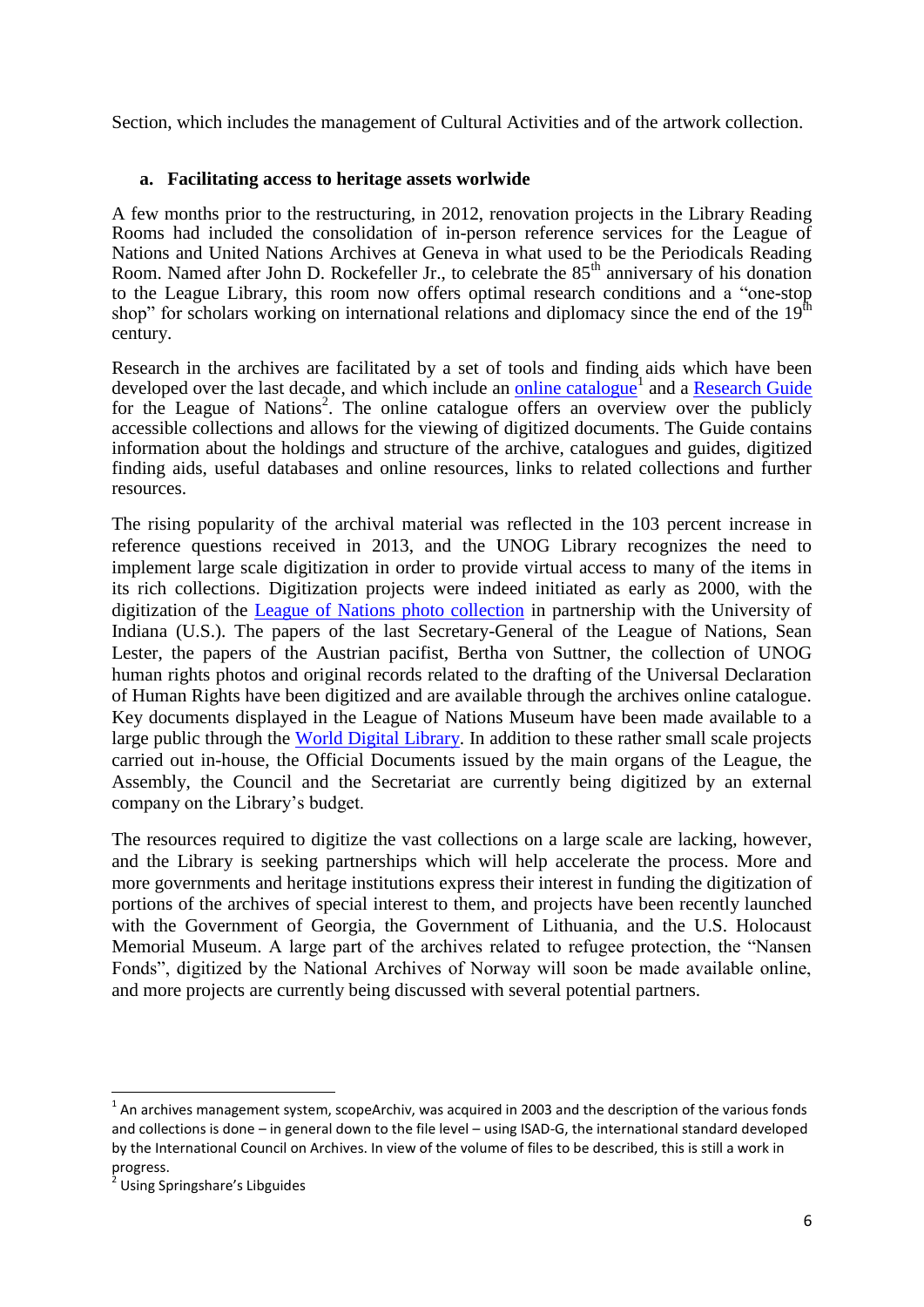Section, which includes the management of Cultural Activities and of the artwork collection.

## **a. Facilitating access to heritage assets worlwide**

A few months prior to the restructuring, in 2012, renovation projects in the Library Reading Rooms had included the consolidation of in-person reference services for the League of Nations and United Nations Archives at Geneva in what used to be the Periodicals Reading Room. Named after John D. Rockefeller Jr., to celebrate the 85<sup>th</sup> anniversary of his donation to the League Library, this room now offers optimal research conditions and a "one-stop shop" for scholars working on international relations and diplomacy since the end of the  $19<sup>th</sup>$ century.

Research in the archives are facilitated by a set of tools and finding aids which have been developed over the last decade, and which include an *online catalogue*<sup>1</sup> and a [Research Guide](http://libraryresources.unog.ch/leagueofnationsarchives) for the League of Nations<sup>2</sup>. The online catalogue offers an overview over the publicly accessible collections and allows for the viewing of digitized documents. The Guide contains information about the holdings and structure of the archive, catalogues and guides, digitized finding aids, useful databases and online resources, links to related collections and further resources.

The rising popularity of the archival material was reflected in the 103 percent increase in reference questions received in 2013, and the UNOG Library recognizes the need to implement large scale digitization in order to provide virtual access to many of the items in its rich collections. Digitization projects were indeed initiated as early as 2000, with the digitization of the [League of Nations photo collection](http://www.indiana.edu/~league/index.htm) in partnership with the University of Indiana (U.S.). The papers of the last Secretary-General of the League of Nations, Sean Lester, the papers of the Austrian pacifist, Bertha von Suttner, the collection of UNOG human rights photos and original records related to the drafting of the Universal Declaration of Human Rights have been digitized and are available through the archives online catalogue. Key documents displayed in the League of Nations Museum have been made available to a large public through the [World Digital Library.](http://www.wdl.org/en/search/?institution=united-nations-office-geneva-library) In addition to these rather small scale projects carried out in-house, the Official Documents issued by the main organs of the League, the Assembly, the Council and the Secretariat are currently being digitized by an external company on the Library's budget.

The resources required to digitize the vast collections on a large scale are lacking, however, and the Library is seeking partnerships which will help accelerate the process. More and more governments and heritage institutions express their interest in funding the digitization of portions of the archives of special interest to them, and projects have been recently launched with the Government of Georgia, the Government of Lithuania, and the U.S. Holocaust Memorial Museum. A large part of the archives related to refugee protection, the "Nansen Fonds", digitized by the National Archives of Norway will soon be made available online, and more projects are currently being discussed with several potential partners.

 $\overline{a}$ 

 $<sup>1</sup>$  An archives management system, scopeArchiv, was acquired in 2003 and the description of the various fonds</sup> and collections is done – in general down to the file level – using ISAD-G, the international standard developed by the International Council on Archives. In view of the volume of files to be described, this is still a work in progress.

<sup>&</sup>lt;sup>2</sup> Using Springshare's Libguides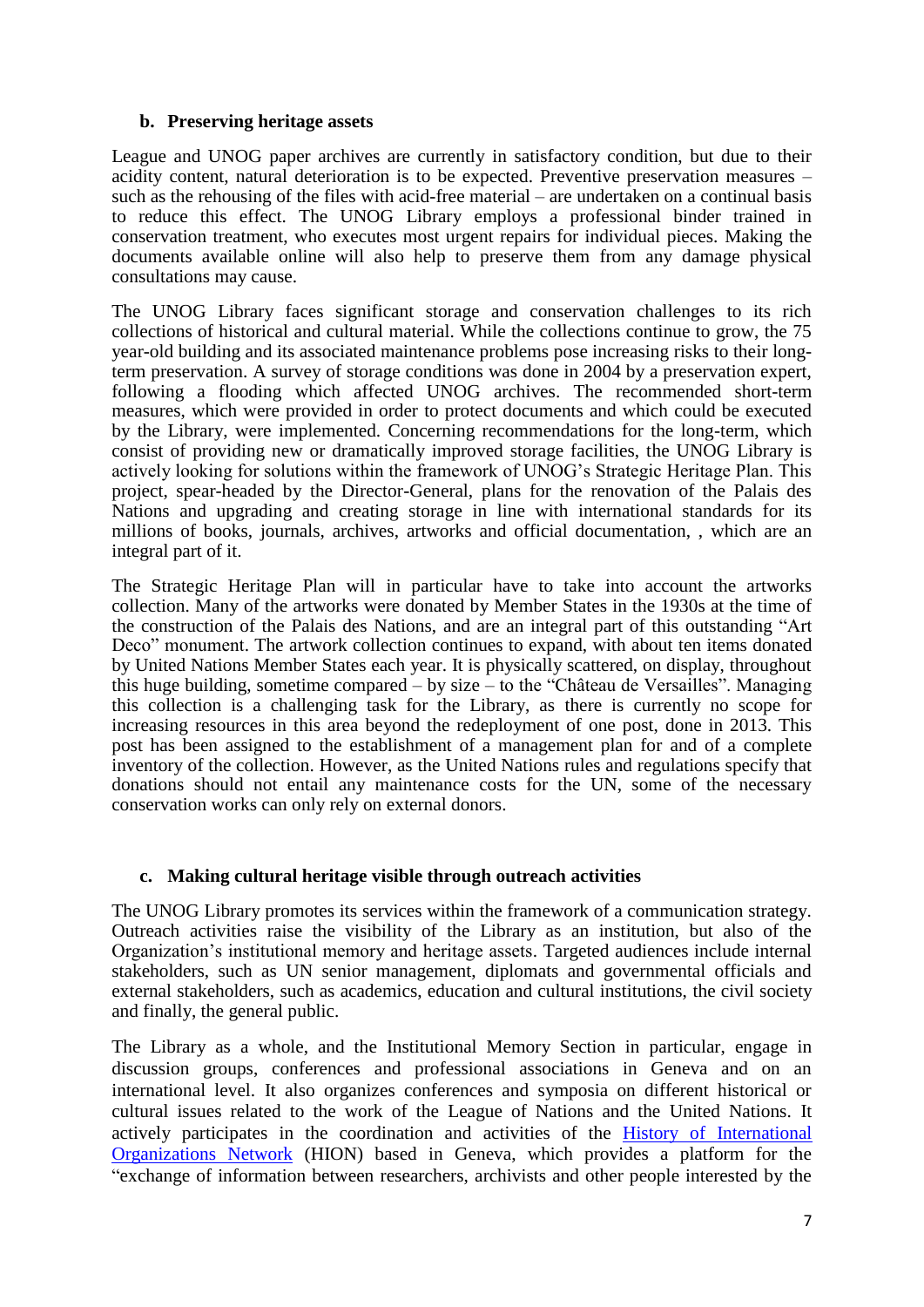#### **b. Preserving heritage assets**

League and UNOG paper archives are currently in satisfactory condition, but due to their acidity content, natural deterioration is to be expected. Preventive preservation measures – such as the rehousing of the files with acid-free material – are undertaken on a continual basis to reduce this effect. The UNOG Library employs a professional binder trained in conservation treatment, who executes most urgent repairs for individual pieces. Making the documents available online will also help to preserve them from any damage physical consultations may cause.

The UNOG Library faces significant storage and conservation challenges to its rich collections of historical and cultural material. While the collections continue to grow, the 75 year-old building and its associated maintenance problems pose increasing risks to their longterm preservation. A survey of storage conditions was done in 2004 by a preservation expert, following a flooding which affected UNOG archives. The recommended short-term measures, which were provided in order to protect documents and which could be executed by the Library, were implemented. Concerning recommendations for the long-term, which consist of providing new or dramatically improved storage facilities, the UNOG Library is actively looking for solutions within the framework of UNOG's Strategic Heritage Plan. This project, spear-headed by the Director-General, plans for the renovation of the Palais des Nations and upgrading and creating storage in line with international standards for its millions of books, journals, archives, artworks and official documentation, , which are an integral part of it.

The Strategic Heritage Plan will in particular have to take into account the artworks collection. Many of the artworks were donated by Member States in the 1930s at the time of the construction of the Palais des Nations, and are an integral part of this outstanding "Art Deco" monument. The artwork collection continues to expand, with about ten items donated by United Nations Member States each year. It is physically scattered, on display, throughout this huge building, sometime compared – by size – to the "Château de Versailles". Managing this collection is a challenging task for the Library, as there is currently no scope for increasing resources in this area beyond the redeployment of one post, done in 2013. This post has been assigned to the establishment of a management plan for and of a complete inventory of the collection. However, as the United Nations rules and regulations specify that donations should not entail any maintenance costs for the UN, some of the necessary conservation works can only rely on external donors.

#### **c. Making cultural heritage visible through outreach activities**

The UNOG Library promotes its services within the framework of a communication strategy. Outreach activities raise the visibility of the Library as an institution, but also of the Organization's institutional memory and heritage assets. Targeted audiences include internal stakeholders, such as UN senior management, diplomats and governmental officials and external stakeholders, such as academics, education and cultural institutions, the civil society and finally, the general public.

The Library as a whole, and the Institutional Memory Section in particular, engage in discussion groups, conferences and professional associations in Geneva and on an international level. It also organizes conferences and symposia on different historical or cultural issues related to the work of the League of Nations and the United Nations. It actively participates in the coordination and activities of the [History of International](http://www.hion.ch/)  [Organizations Network](http://www.hion.ch/) (HION) based in Geneva, which provides a platform for the "exchange of information between researchers, archivists and other people interested by the